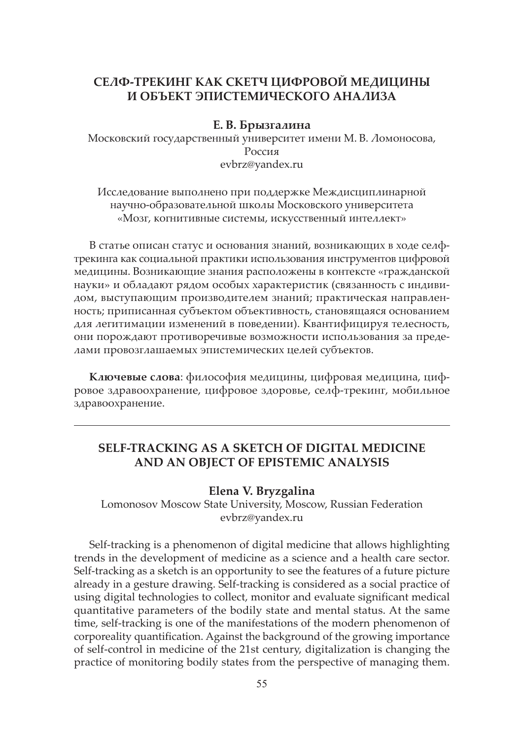# **СЕЛФ-ТРЕКИНГ КАК СКЕТЧ ЦИФРОВОЙ МЕДИЦИНЫ И ОБЪЕКТ ЭПИСТЕМИЧЕСКОГО АНАЛИЗА**

#### **Е. В. Брызгалина**

Московский государственный университет имени М. В. Ломоносова, Россия evbrz@yandex.ru

Исследование выполнено при поддержке Междисциплинарной научно-образовательной школы Московского университета «Мозг, когнитивные системы, искусственный интеллект»

В статье описан статус и основания знаний, возникающих в ходе селфтрекинга как социальной практики использования инструментов цифровой медицины. Возникающие знания расположены в контексте «гражданской науки» и обладают рядом особых характеристик (связанность с индивидом, выступающим производителем знаний; практическая направленность; приписанная субъектом объективность, становящаяся основанием для легитимации изменений в поведении). Квантифицируя телесность, они порождают противоречивые возможности использования за пределами провозглашаемых эпистемических целей субъектов.

**Ключевые слова**: философия медицины, цифровая медицина, цифровое здравоохранение, цифровое здоровье, селф-трекинг, мобильное здравоохранение.

## **SELF-TRACKING AS A SKETCH OF DIGITAL MEDICINE AND AN OBJECT OF EPISTEMIC ANALYSIS**

#### **Elena V. Bryzgalina**

Lomonosov Moscow State University, Moscow, Russian Federation evbrz@yandex.ru

Self-tracking is a phenomenon of digital medicine that allows highlighting trends in the development of medicine as a science and a health care sector. Self-tracking as a sketch is an opportunity to see the features of a future picture already in a gesture drawing. Self-tracking is considered as a social practice of using digital technologies to collect, monitor and evaluate significant medical quantitative parameters of the bodily state and mental status. At the same time, self-tracking is one of the manifestations of the modern phenomenon of corporeality quantification. Against the background of the growing importance of self-control in medicine of the 21st century, digitalization is changing the practice of monitoring bodily states from the perspective of managing them.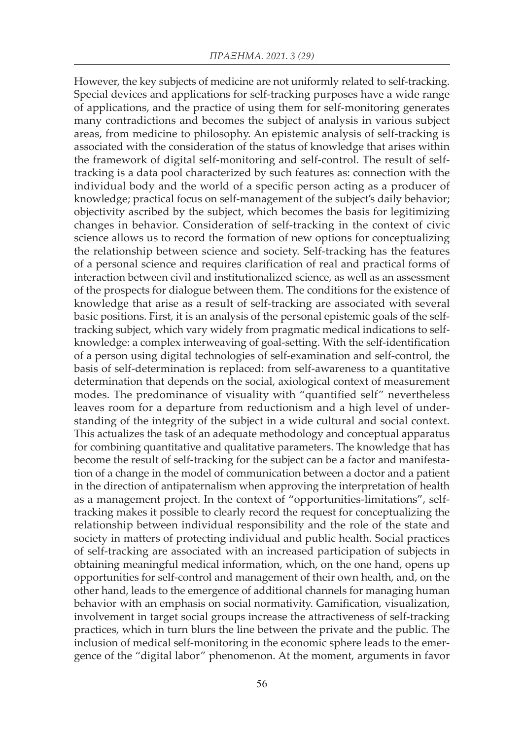However, the key subjects of medicine are not uniformly related to self-tracking. Special devices and applications for self-tracking purposes have a wide range of applications, and the practice of using them for self-monitoring generates many contradictions and becomes the subject of analysis in various subject areas, from medicine to philosophy. An epistemic analysis of self-tracking is associated with the consideration of the status of knowledge that arises within the framework of digital self-monitoring and self-control. The result of selftracking is a data pool characterized by such features as: connection with the individual body and the world of a specific person acting as a producer of knowledge; practical focus on self-management of the subject's daily behavior; objectivity ascribed by the subject, which becomes the basis for legitimizing changes in behavior. Consideration of self-tracking in the context of civic science allows us to record the formation of new options for conceptualizing the relationship between science and society. Self-tracking has the features of a personal science and requires clarification of real and practical forms of interaction between civil and institutionalized science, as well as an assessment of the prospects for dialogue between them. The conditions for the existence of knowledge that arise as a result of self-tracking are associated with several basic positions. First, it is an analysis of the personal epistemic goals of the selftracking subject, which vary widely from pragmatic medical indications to selfknowledge: a complex interweaving of goal-setting. With the self-identification of a person using digital technologies of self-examination and self-control, the basis of self-determination is replaced: from self-awareness to a quantitative determination that depends on the social, axiological context of measurement modes. The predominance of visuality with "quantified self" nevertheless leaves room for a departure from reductionism and a high level of understanding of the integrity of the subject in a wide cultural and social context. This actualizes the task of an adequate methodology and conceptual apparatus for combining quantitative and qualitative parameters. The knowledge that has become the result of self-tracking for the subject can be a factor and manifestation of a change in the model of communication between a doctor and a patient in the direction of antipaternalism when approving the interpretation of health as a management project. In the context of "opportunities-limitations", selftracking makes it possible to clearly record the request for conceptualizing the relationship between individual responsibility and the role of the state and society in matters of protecting individual and public health. Social practices of self-tracking are associated with an increased participation of subjects in obtaining meaningful medical information, which, on the one hand, opens up opportunities for self-control and management of their own health, and, on the other hand, leads to the emergence of additional channels for managing human behavior with an emphasis on social normativity. Gamification, visualization, involvement in target social groups increase the attractiveness of self-tracking practices, which in turn blurs the line between the private and the public. The inclusion of medical self-monitoring in the economic sphere leads to the emergence of the "digital labor" phenomenon. At the moment, arguments in favor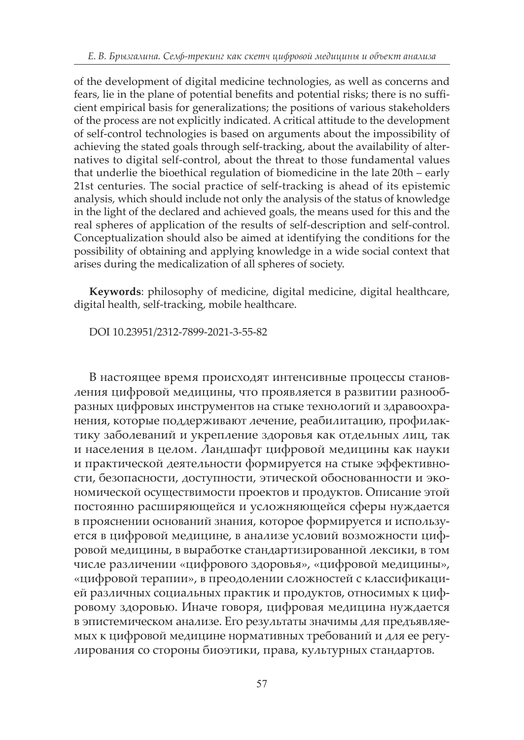of the development of digital medicine technologies, as well as concerns and fears, lie in the plane of potential benefits and potential risks; there is no sufficient empirical basis for generalizations; the positions of various stakeholders of the process are not explicitly indicated. A critical attitude to the development of self-control technologies is based on arguments about the impossibility of achieving the stated goals through self-tracking, about the availability of alternatives to digital self-control, about the threat to those fundamental values that underlie the bioethical regulation of biomedicine in the late 20th – early 21st centuries. The social practice of self-tracking is ahead of its epistemic analysis, which should include not only the analysis of the status of knowledge in the light of the declared and achieved goals, the means used for this and the real spheres of application of the results of self-description and self-control. Conceptualization should also be aimed at identifying the conditions for the possibility of obtaining and applying knowledge in a wide social context that arises during the medicalization of all spheres of society.

**Keywords**: philosophy of medicine, digital medicine, digital healthcare, digital health, self-tracking, mobile healthcare.

DOI 10.23951/2312-7899-2021-3-55-82

В настоящее время происходят интенсивные процессы становления цифровой медицины, что проявляется в развитии разнообразных цифровых инструментов на стыке технологий и здравоохранения, которые поддерживают лечение, реабилитацию, профилактику заболеваний и укрепление здоровья как отдельных лиц, так и населения в целом. Ландшафт цифровой медицины как науки и практической деятельности формируется на стыке эффективности, безопасности, доступности, этической обоснованности и экономической осуществимости проектов и продуктов. Описание этой постоянно расширяющейся и усложняющейся сферы нуждается в прояснении оснований знания, которое формируется и используется в цифровой медицине, в анализе условий возможности цифровой медицины, в выработке стандартизированной лексики, в том числе различении «цифрового здоровья», «цифровой медицины», «цифровой терапии», в преодолении сложностей с классификацией различных социальных практик и продуктов, относимых к цифровому здоровью. Иначе говоря, цифровая медицина нуждается в эпистемическом анализе. Его результаты значимы для предъявляемых к цифровой медицине нормативных требований и для ее регулирования со стороны биоэтики, права, культурных стандартов.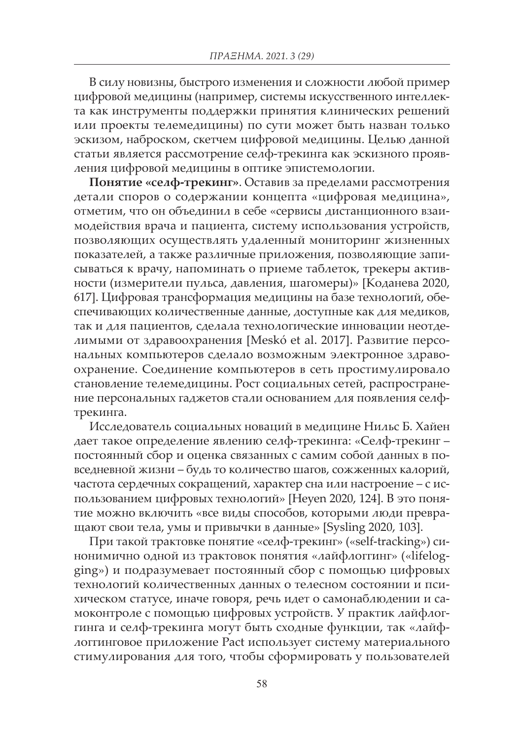В силу новизны, быстрого изменения и сложности любой пример цифровой медицины (например, системы искусственного интеллекта как инструменты поддержки принятия клинических решений или проекты телемедицины) по сути может быть назван только эскизом, наброском, скетчем цифровой медицины. Целью данной статьи является рассмотрение селф-трекинга как эскизного проявления цифровой медицины в оптике эпистемологии.

**Понятие «селф-трекинг»**. Оставив за пределами рассмотрения детали споров о содержании концепта «цифровая медицина», отметим, что он объединил в себе «сервисы дистанционного взаимодействия врача и пациента, систему использования устройств, позволяющих осуществлять удаленный мониторинг жизненных показателей, а также различные приложения, позволяющие записываться к врачу, напоминать о приеме таблеток, трекеры активности (измерители пульса, давления, шагомеры)» [Коданева 2020, 617]. Цифровая трансформация медицины на базе технологий, обеспечивающих количественные данные, доступные как для медиков, так и для пациентов, сделала технологические инновации неотделимыми от здравоохранения [Meskó et al. 2017]. Развитие персональных компьютеров сделало возможным электронное здравоохранение. Соединение компьютеров в сеть простимулировало становление телемедицины. Рост социальных сетей, распространение персональных гаджетов стали основанием для появления селфтрекинга.

Исследователь социальных новаций в медицине Нильс Б. Хайен дает такое определение явлению селф-трекинга: «Селф-трекинг – постоянный сбор и оценка связанных с самим собой данных в повседневной жизни – будь то количество шагов, сожженных калорий, частота сердечных сокращений, характер сна или настроение – с использованием цифровых технологий» [Heyen 2020, 124]. В это понятие можно включить «все виды способов, которыми люди превращают свои тела, умы и привычки в данные» [Sysling 2020, 103].

При такой трактовке понятие «селф-трекинг» («self-tracking») синонимично одной из трактовок понятия «лайфлоггинг» («lifelogging») и подразумевает постоянный сбор с помощью цифровых технологий количественных данных о телесном состоянии и психическом статусе, иначе говоря, речь идет о самонаблюдении и самоконтроле с помощью цифровых устройств. У практик лайфлоггинга и селф-трекинга могут быть сходные функции, так «лайфлоггинговое приложение Pact использует систему материального стимулирования для того, чтобы сформировать у пользователей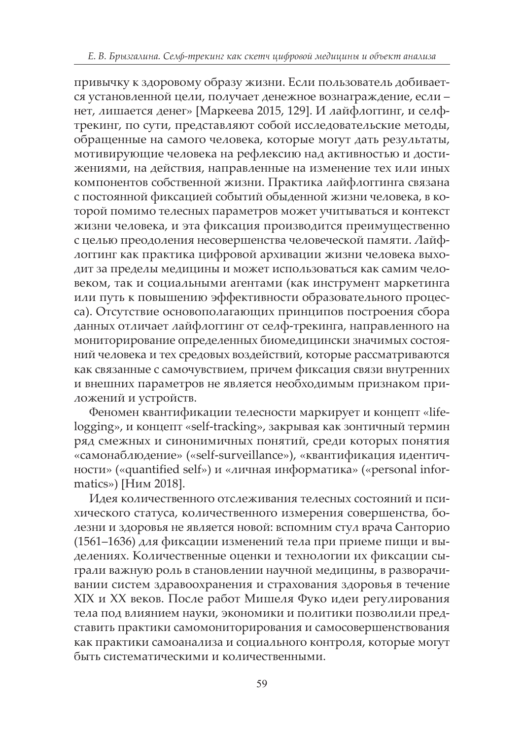привычку к здоровому образу жизни. Если пользователь добивается установленной цели, получает денежное вознаграждение, если – нет, лишается денег» [Маркеева 2015, 129]. И лайфлоггинг, и селфтрекинг, по сути, представляют собой исследовательские методы, обращенные на самого человека, которые могут дать результаты, мотивирующие человека на рефлексию над активностью и достижениями, на действия, направленные на изменение тех или иных компонентов собственной жизни. Практика лайфлоггинга связана с постоянной фиксацией событий обыденной жизни человека, в которой помимо телесных параметров может учитываться и контекст жизни человека, и эта фиксация производится преимущественно с целью преодоления несовершенства человеческой памяти. Лайфлоггинг как практика цифровой архивации жизни человека выходит за пределы медицины и может использоваться как самим человеком, так и социальными агентами (как инструмент маркетинга или путь к повышению эффективности образовательного процесса). Отсутствие основополагающих принципов построения сбора данных отличает лайфлоггинг от селф-трекинга, направленного на мониторирование определенных биомедицински значимых состояний человека и тех средовых воздействий, которые рассматриваются как связанные с самочувствием, причем фиксация связи внутренних и внешних параметров не является необходимым признаком приложений и устройств.

Феномен квантификации телесности маркирует и концепт «lifelogging», и концепт «self-tracking», закрывая как зонтичный термин ряд смежных и синонимичных понятий, среди которых понятия «самонаблюдение» («self-surveillance»), «квантификация идентичности» («quantified self») и «личная информатика» («personal informatics») [Ним 2018].

Идея количественного отслеживания телесных состояний и психического статуса, количественного измерения совершенства, болезни и здоровья не является новой: вспомним стул врача Санторио (1561–1636) для фиксации изменений тела при приеме пищи и выделениях. Количественные оценки и технологии их фиксации сыграли важную роль в становлении научной медицины, в разворачивании систем здравоохранения и страхования здоровья в течение XIX и XX веков. После работ Мишеля Фуко идеи регулирования тела под влиянием науки, экономики и политики позволили представить практики самомониторирования и самосовершенствования как практики самоанализа и социального контроля, которые могут быть систематическими и количественными.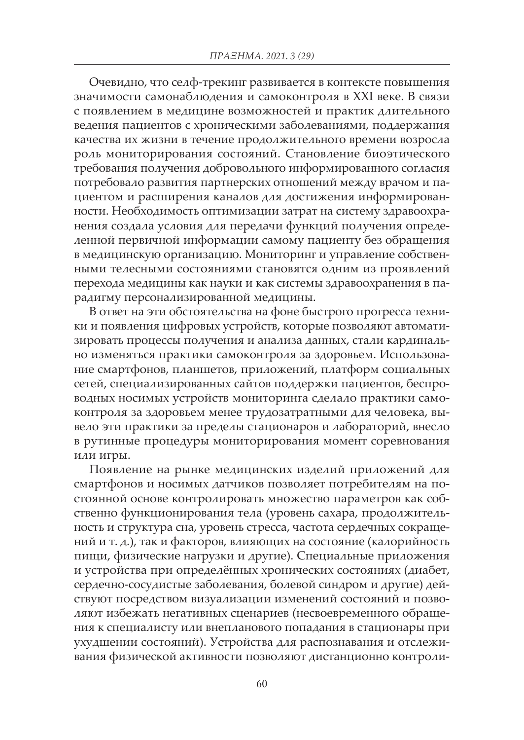Очевидно, что селф-трекинг развивается в контексте повышения значимости самонаблюдения и самоконтроля в XXI веке. В связи с появлением в медицине возможностей и практик длительного ведения пациентов с хроническими заболеваниями, поддержания качества их жизни в течение продолжительного времени возросла роль мониторирования состояний. Становление биоэтического требования получения добровольного информированного согласия потребовало развития партнерских отношений между врачом и пациентом и расширения каналов для достижения информированности. Необходимость оптимизации затрат на систему здравоохранения создала условия для передачи функций получения определенной первичной информации самому пациенту без обращения в медицинскую организацию. Мониторинг и управление собственными телесными состояниями становятся одним из проявлений перехода медицины как науки и как системы здравоохранения в парадигму персонализированной медицины.

В ответ на эти обстоятельства на фоне быстрого прогресса техники и появления цифровых устройств, которые позволяют автоматизировать процессы получения и анализа данных, стали кардинально изменяться практики самоконтроля за здоровьем. Использование смартфонов, планшетов, приложений, платформ социальных сетей, специализированных сайтов поддержки пациентов, беспроводных носимых устройств мониторинга сделало практики самоконтроля за здоровьем менее трудозатратными для человека, вывело эти практики за пределы стационаров и лабораторий, внесло в рутинные процедуры мониторирования момент соревнования или игры.

Появление на рынке медицинских изделий приложений для смартфонов и носимых датчиков позволяет потребителям на постоянной основе контролировать множество параметров как собственно функционирования тела (уровень сахара, продолжительность и структура сна, уровень стресса, частота сердечных сокращений и т. д.), так и факторов, влияющих на состояние (калорийность пищи, физические нагрузки и другие). Специальные приложения и устройства при определённых хронических состояниях (диабет, сердечно-сосудистые заболевания, болевой синдром и другие) действуют посредством визуализации изменений состояний и позволяют избежать негативных сценариев (несвоевременного обращения к специалисту или внепланового попадания в стационары при ухудшении состояний). Устройства для распознавания и отслеживания физической активности позволяют дистанционно контроли-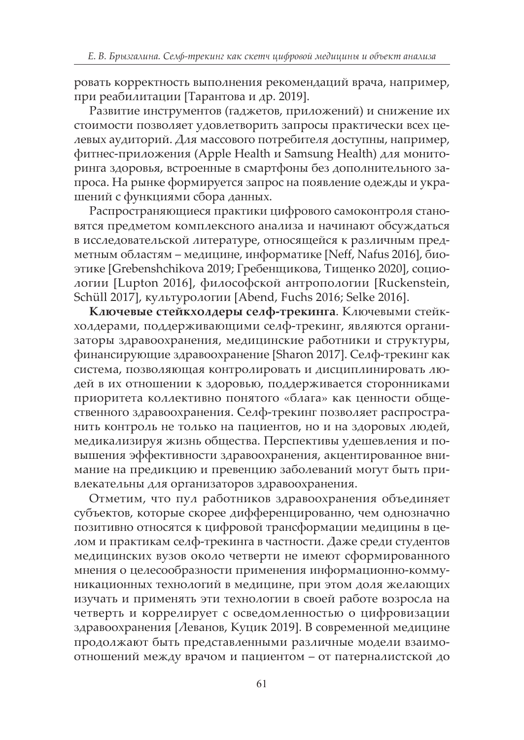ровать корректность выполнения рекомендаций врача, например, при реабилитации [Тарантова и др. 2019].

Развитие инструментов (гаджетов, приложений) и снижение их стоимости позволяет удовлетворить запросы практически всех целевых аудиторий. Для массового потребителя доступны, например, фитнес-приложения (Apple Health и Samsung Health) для мониторинга здоровья, встроенные в смартфоны без дополнительного запроса. На рынке формируется запрос на появление одежды и украшений с функциями сбора данных.

Распространяющиеся практики цифрового самоконтроля становятся предметом комплексного анализа и начинают обсуждаться в исследовательской литературе, относящейся к различным предметным областям – медицине, информатике [Neff, Nafus 2016], биоэтике [Grebenshchikova 2019; Гребенщикова, Тищенко 2020], социологии [Lupton 2016], философской антропологии [Ruckenstein, Schüll 2017], культурологии [Abend, Fuchs 2016; Selke 2016].

**Ключевые стейкхолдеры селф-трекинга**. Ключевыми стейкхолдерами, поддерживающими селф-трекинг, являются организаторы здравоохранения, медицинские работники и структуры, финансирующие здравоохранение [Sharon 2017]. Селф-трекинг как система, позволяющая контролировать и дисциплинировать людей в их отношении к здоровью, поддерживается сторонниками приоритета коллективно понятого «блага» как ценности общественного здравоохранения. Селф-трекинг позволяет распространить контроль не только на пациентов, но и на здоровых людей, медикализируя жизнь общества. Перспективы удешевления и повышения эффективности здравоохранения, акцентированное внимание на предикцию и превенцию заболеваний могут быть привлекательны для организаторов здравоохранения.

Отметим, что пул работников здравоохранения объединяет субъектов, которые скорее дифференцированно, чем однозначно позитивно относятся к цифровой трансформации медицины в целом и практикам селф-трекинга в частности. Даже среди студентов медицинских вузов около четверти не имеют сформированного мнения о целесообразности применения информационно-коммуникационных технологий в медицине, при этом доля желающих изучать и применять эти технологии в своей работе возросла на четверть и коррелирует с осведомленностью о цифровизации здравоохранения [Леванов, Куцик 2019]. В современной медицине продолжают быть представленными различные модели взаимоотношений между врачом и пациентом – от патерналистской до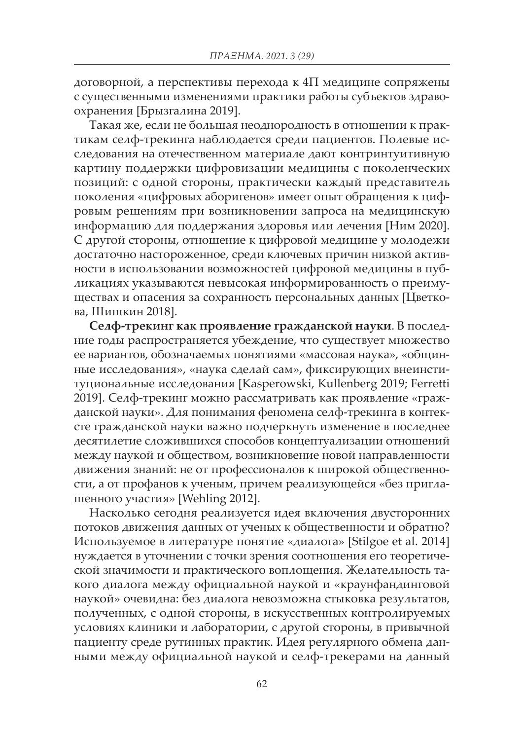договорной, а перспективы перехода к 4П медицине сопряжены с существенными изменениями практики работы субъектов здравоохранения [Брызгалина 2019].

Такая же, если не большая неоднородность в отношении к практикам селф-трекинга наблюдается среди пациентов. Полевые исследования на отечественном материале дают контринтуитивную картину поддержки цифровизации медицины с поколенческих позиций: с одной стороны, практически каждый представитель поколения «цифровых аборигенов» имеет опыт обращения к цифровым решениям при возникновении запроса на медицинскую информацию для поддержания здоровья или лечения [Ним 2020]. С другой стороны, отношение к цифровой медицине у молодежи достаточно настороженное, среди ключевых причин низкой активности в использовании возможностей цифровой медицины в публикациях указываются невысокая информированность о преимуществах и опасения за сохранность персональных данных [Цветкова, Шишкин 2018].

**Селф-трекинг как проявление гражданской науки**. В последние годы распространяется убеждение, что существует множество ее вариантов, обозначаемых понятиями «массовая наука», «общинные исследования», «наука сделай сам», фиксирующих внеинституциональные исследования [Kasperowski, Kullenberg 2019; Ferretti 2019]. Селф-трекинг можно рассматривать как проявление «гражданской науки». Для понимания феномена селф-трекинга в контексте гражданской науки важно подчеркнуть изменение в последнее десятилетие сложившихся способов концептуализации отношений между наукой и обществом, возникновение новой направленности движения знаний: не от профессионалов к широкой общественности, а от профанов к ученым, причем реализующейся «без приглашенного участия» [Wehling 2012].

Насколько сегодня реализуется идея включения двусторонних потоков движения данных от ученых к общественности и обратно? Используемое в литературе понятие «диалога» [Stilgoe et al. 2014] нуждается в уточнении с точки зрения соотношения его теоретической значимости и практического воплощения. Желательность такого диалога между официальной наукой и «краунфандинговой наукой» очевидна: без диалога невозможна стыковка результатов, полученных, с одной стороны, в искусственных контролируемых условиях клиники и лаборатории, с другой стороны, в привычной пациенту среде рутинных практик. Идея регулярного обмена данными между официальной наукой и селф-трекерами на данный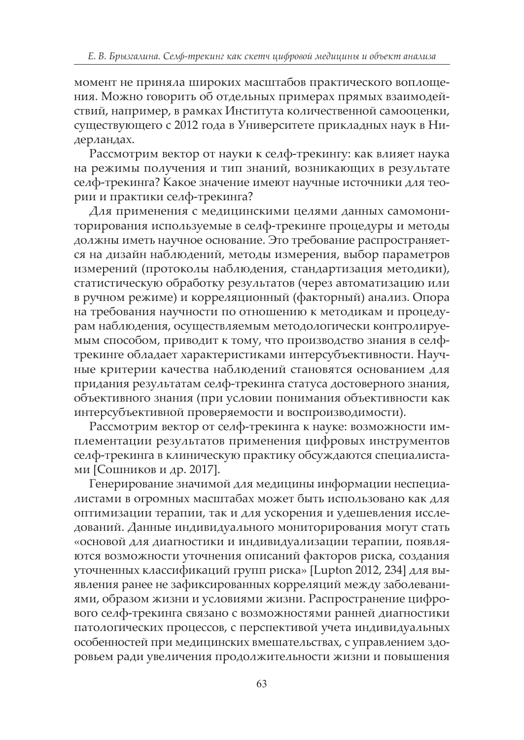момент не приняла широких масштабов практического воплощения. Можно говорить об отдельных примерах прямых взаимодействий, например, в рамках Института количественной самооценки, существующего с 2012 года в Университете прикладных наук в Нидерландах.

Рассмотрим вектор от науки к селф-трекингу: как влияет наука на режимы получения и тип знаний, возникающих в результате селф-трекинга? Какое значение имеют научные источники для теории и практики селф-трекинга?

Для применения с медицинскими целями данных самомониторирования используемые в селф-трекинге процедуры и методы должны иметь научное основание. Это требование распространяется на дизайн наблюдений, методы измерения, выбор параметров измерений (протоколы наблюдения, стандартизация методики), статистическую обработку результатов (через автоматизацию или в ручном режиме) и корреляционный (факторный) анализ. Опора на требования научности по отношению к методикам и процедурам наблюдения, осуществляемым методологически контролируемым способом, приводит к тому, что производство знания в селфтрекинге обладает характеристиками интерсубъективности. Научные критерии качества наблюдений становятся основанием для придания результатам селф-трекинга статуса достоверного знания, объективного знания (при условии понимания объективности как интерсубъективной проверяемости и воспроизводимости).

Рассмотрим вектор от селф-трекинга к науке: возможности имплементации результатов применения цифровых инструментов селф-трекинга в клиническую практику обсуждаются специалистами [Сошников и др. 2017].

Генерирование значимой для медицины информации неспециалистами в огромных масштабах может быть использовано как для оптимизации терапии, так и для ускорения и удешевления исследований. Данные индивидуального мониторирования могут стать «основой для диагностики и индивидуализации терапии, появляются возможности уточнения описаний факторов риска, создания уточненных классификаций групп риска» [Lupton 2012, 234] для выявления ранее не зафиксированных корреляций между заболеваниями, образом жизни и условиями жизни. Распространение цифрового селф-трекинга связано с возможностями ранней диагностики патологических процессов, с перспективой учета индивидуальных особенностей при медицинских вмешательствах, с управлением здоровьем ради увеличения продолжительности жизни и повышения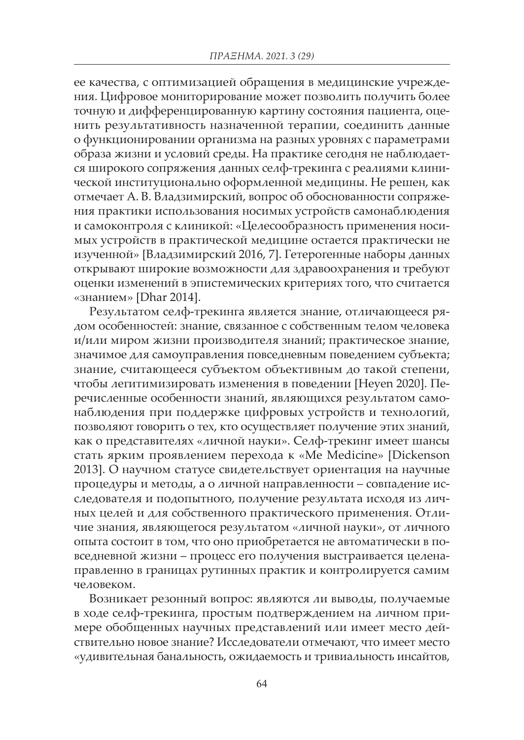ее качества, с оптимизацией обращения в медицинские учреждения. Цифровое мониторирование может позволить получить более точную и дифференцированную картину состояния пациента, оценить результативность назначенной терапии, соединить данные о функционировании организма на разных уровнях с параметрами образа жизни и условий среды. На практике сегодня не наблюдается широкого сопряжения данных селф-трекинга с реалиями клинической институционально оформленной медицины. Не решен, как отмечает А. В. Владзимирский, вопрос об обоснованности сопряжения практики использования носимых устройств самонаблюдения и самоконтроля с клиникой: «Целесообразность применения носимых устройств в практической медицине остается практически не изученной» [Владзимирский 2016, 7]. Гетерогенные наборы данных открывают широкие возможности для здравоохранения и требуют оценки изменений в эпистемических критериях того, что считается «знанием» [Dhar 2014].

Результатом селф-трекинга является знание, отличающееся рядом особенностей: знание, связанное с собственным телом человека и/или миром жизни производителя знаний; практическое знание, значимое для самоуправления повседневным поведением субъекта; знание, считающееся субъектом объективным до такой степени, чтобы легитимизировать изменения в поведении [Heyen 2020]. Перечисленные особенности знаний, являющихся результатом самонаблюдения при поддержке цифровых устройств и технологий, позволяют говорить о тех, кто осуществляет получение этих знаний, как о представителях «личной науки». Селф-трекинг имеет шансы стать ярким проявлением перехода к «Me Medicine» [Dickenson 2013]. О научном статусе свидетельствует ориентация на научные процедуры и методы, а о личной направленности – совпадение исследователя и подопытного, получение результата исходя из личных целей и для собственного практического применения. Отличие знания, являющегося результатом «личной науки», от личного опыта состоит в том, что оно приобретается не автоматически в повседневной жизни – процесс его получения выстраивается целенаправленно в границах рутинных практик и контролируется самим человеком.

Возникает резонный вопрос: являются ли выводы, получаемые в ходе селф-трекинга, простым подтверждением на личном примере обобщенных научных представлений или имеет место действительно новое знание? Исследователи отмечают, что имеет место «удивительная банальность, ожидаемость и тривиальность инсайтов,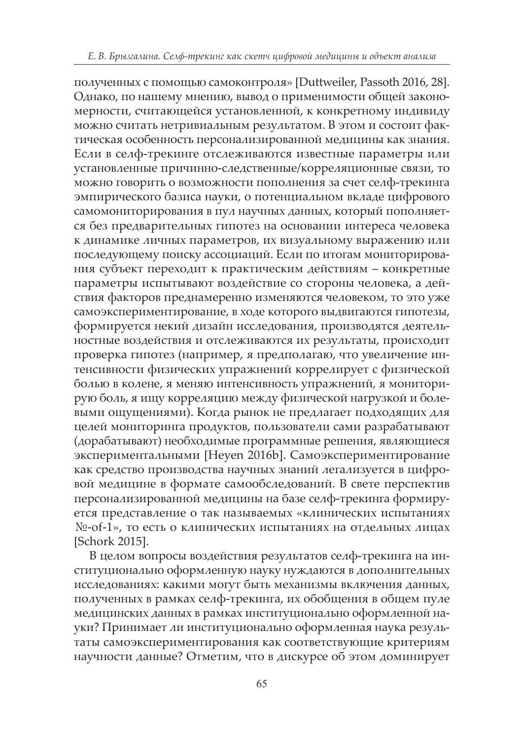полученных с помощью самоконтроля» [Duttweiler, Passoth 2016, 28]. Однако, по нашему мнению, вывод о применимости общей закономерности, считающейся установленной, к конкретному индивиду можно считать нетривиальным результатом. В этом и состоит фактическая особенность персонализированной медицины как знания. Если в селф-трекинге отслеживаются известные параметры или установленные причинно-следственные/корреляционные связи, то можно говорить о возможности пополнения за счет селф-трекинга эмпирического базиса науки, о потенциальном вкладе цифрового самомониторирования в пул научных данных, который пополняется без предварительных гипотез на основании интереса человека к динамике личных параметров, их визуальному выражению или последующему поиску ассоциаций. Если по итогам мониторирования субъект переходит к практическим действиям – конкретные параметры испытывают воздействие со стороны человека, а действия факторов преднамеренно изменяются человеком, то это уже самоэкспериментирование, в ходе которого выдвигаются гипотезы, формируется некий дизайн исследования, производятся деятельностные воздействия и отслеживаются их результаты, происходит проверка гипотез (например, я предполагаю, что увеличение интенсивности физических упражнений коррелирует с физической болью в колене, я меняю интенсивность упражнений, я мониторирую боль, я ищу корреляцию между физической нагрузкой и болевыми ощущениями). Когда рынок не предлагает подходящих для целей мониторинга продуктов, пользователи сами разрабатывают (дорабатывают) необходимые программные решения, являющиеся экспериментальными [Heyen 2016b]. Самоэкспериментирование как средство производства научных знаний легализуется в цифровой медицине в формате самообследований. В свете перспектив персонализированной медицины на базе селф-трекинга формируется представление о так называемых «клинических испытаниях №-of-1», то есть о клинических испытаниях на отдельных лицах [Schork 2015].

В целом вопросы воздействия результатов селф-трекинга на институционально оформленную науку нуждаются в дополнительных исследованиях: какими могут быть механизмы включения данных, полученных в рамках селф-трекинга, их обобщения в общем пуле медицинских данных в рамках институционально оформленной науки? Принимает ли институционально оформленная наука результаты самоэкспериментирования как соответствующие критериям научности данные? Отметим, что в дискурсе об этом доминирует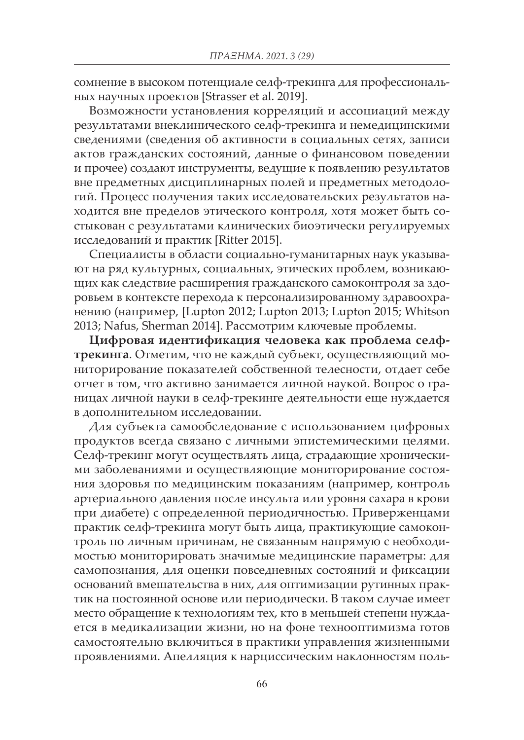сомнение в высоком потенциале селф-трекинга для профессиональных научных проектов [Strasser et al. 2019].

Возможности установления корреляций и ассоциаций между результатами внеклинического селф-трекинга и немедицинскими сведениями (сведения об активности в социальных сетях, записи актов гражданских состояний, данные о финансовом поведении и прочее) создают инструменты, ведущие к появлению результатов вне предметных дисциплинарных полей и предметных методологий. Процесс получения таких исследовательских результатов находится вне пределов этического контроля, хотя может быть состыкован с результатами клинических биоэтически регулируемых исследований и практик [Ritter 2015].

Специалисты в области социально-гуманитарных наук указывают на ряд культурных, социальных, этических проблем, возникающих как следствие расширения гражданского самоконтроля за здоровьем в контексте перехода к персонализированному здравоохранению (например, [Lupton 2012; Lupton 2013; Lupton 2015; Whitson 2013; Nafus, Sherman 2014]. Рассмотрим ключевые проблемы.

**Цифровая идентификация человека как проблема селфтрекинга**. Отметим, что не каждый субъект, осуществляющий мониторирование показателей собственной телесности, отдает себе отчет в том, что активно занимается личной наукой. Вопрос о границах личной науки в селф-трекинге деятельности еще нуждается в дополнительном исследовании.

Для субъекта самообследование с использованием цифровых продуктов всегда связано с личными эпистемическими целями. Селф-трекинг могут осуществлять лица, страдающие хроническими заболеваниями и осуществляющие мониторирование состояния здоровья по медицинским показаниям (например, контроль артериального давления после инсульта или уровня сахара в крови при диабете) с определенной периодичностью. Приверженцами практик селф-трекинга могут быть лица, практикующие самоконтроль по личным причинам, не связанным напрямую с необходимостью мониторировать значимые медицинские параметры: для самопознания, для оценки повседневных состояний и фиксации оснований вмешательства в них, для оптимизации рутинных практик на постоянной основе или периодически. В таком случае имеет место обращение к технологиям тех, кто в меньшей степени нуждается в медикализации жизни, но на фоне технооптимизма готов самостоятельно включиться в практики управления жизненными проявлениями. Апелляция к нарциссическим наклонностям поль-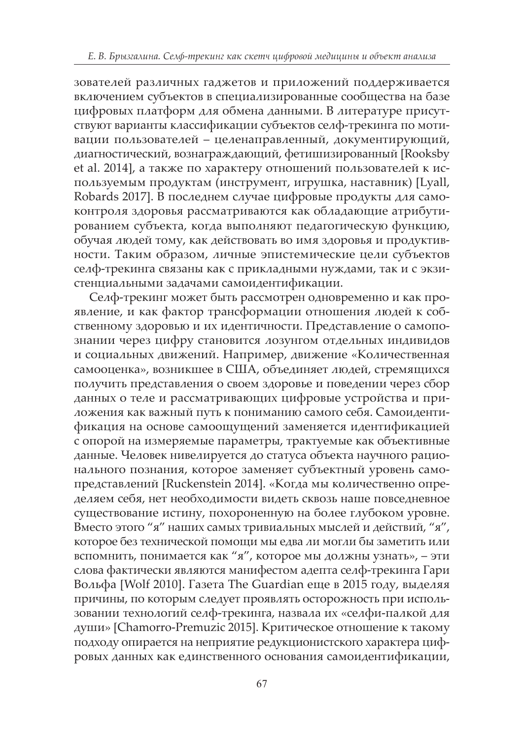зователей различных гаджетов и приложений поддерживается включением субъектов в специализированные сообщества на базе цифровых платформ для обмена данными. В литературе присутствуют варианты классификации субъектов селф-трекинга по мотивации пользователей – целенаправленный, документирующий, диагностический, вознаграждающий, фетишизированный [Rooksby et al. 2014], а также по характеру отношений пользователей к используемым продуктам (инструмент, игрушка, наставник) [Lyall, Robards 2017]. В последнем случае цифровые продукты для самоконтроля здоровья рассматриваются как обладающие атрибутированием субъекта, когда выполняют педагогическую функцию, обучая людей тому, как действовать во имя здоровья и продуктивности. Таким образом, личные эпистемические цели субъектов селф-трекинга связаны как с прикладными нуждами, так и с экзистенциальными задачами самоидентификации.

Селф-трекинг может быть рассмотрен одновременно и как проявление, и как фактор трансформации отношения людей к собственному здоровью и их идентичности. Представление о самопознании через цифру становится лозунгом отдельных индивидов и социальных движений. Например, движение «Количественная самооценка», возникшее в США, объединяет людей, стремящихся получить представления о своем здоровье и поведении через сбор данных о теле и рассматривающих цифровые устройства и приложения как важный путь к пониманию самого себя. Самоидентификация на основе самоощущений заменяется идентификацией с опорой на измеряемые параметры, трактуемые как объективные данные. Человек нивелируется до статуса объекта научного рационального познания, которое заменяет субъектный уровень самопредставлений [Ruckenstein 2014]. «Когда мы количественно определяем себя, нет необходимости видеть сквозь наше повседневное существование истину, похороненную на более глубоком уровне. Вместо этого "я" наших самых тривиальных мыслей и действий, "я", которое без технической помощи мы едва ли могли бы заметить или вспомнить, понимается как "я", которое мы должны узнать», – эти слова фактически являются манифестом адепта селф-трекинга Гари Вольфа [Wolf 2010]. Газета The Guardian еще в 2015 году, выделяя причины, по которым следует проявлять осторожность при использовании технологий селф-трекинга, назвала их «селфи-палкой для души» [Chamorro-Premuzic 2015]. Критическое отношение к такому подходу опирается на неприятие редукционистского характера цифровых данных как единственного основания самоидентификации,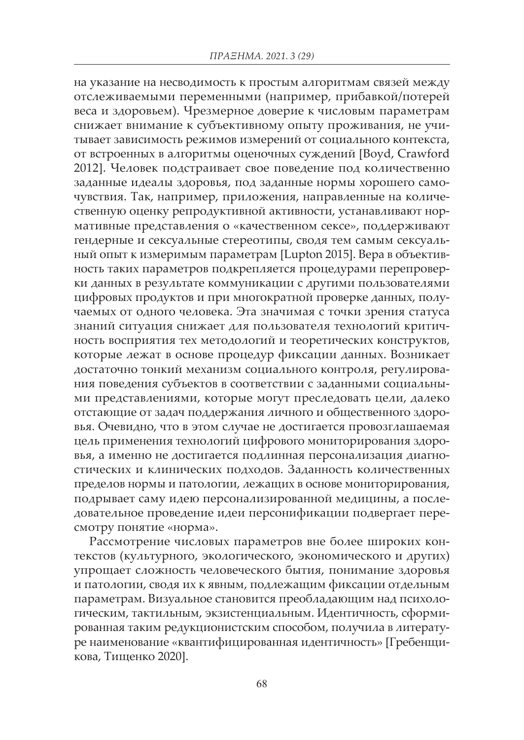на указание на несводимость к простым алгоритмам связей между отслеживаемыми переменными (например, прибавкой/потерей веса и здоровьем). Чрезмерное доверие к числовым параметрам снижает внимание к субъективному опыту проживания, не учитывает зависимость режимов измерений от социального контекста, от встроенных в алгоритмы оценочных суждений [Boyd, Crawford 2012]. Человек подстраивает свое поведение под количественно заданные идеалы здоровья, под заданные нормы хорошего самочувствия. Так, например, приложения, направленные на количественную оценку репродуктивной активности, устанавливают нормативные представления о «качественном сексе», поддерживают гендерные и сексуальные стереотипы, сводя тем самым сексуальный опыт к измеримым параметрам [Lupton 2015]. Вера в объективность таких параметров подкрепляется процедурами перепроверки данных в результате коммуникации с другими пользователями цифровых продуктов и при многократной проверке данных, получаемых от одного человека. Эта значимая с точки зрения статуса знаний ситуация снижает для пользователя технологий критичность восприятия тех методологий и теоретических конструктов, которые лежат в основе процедур фиксации данных. Возникает достаточно тонкий механизм социального контроля, регулирования поведения субъектов в соответствии с заданными социальными представлениями, которые могут преследовать цели, далеко отстающие от задач поддержания личного и общественного здоровья. Очевидно, что в этом случае не достигается провозглашаемая цель применения технологий цифрового мониторирования здоровья, а именно не достигается подлинная персонализация диагностических и клинических подходов. Заданность количественных пределов нормы и патологии, лежащих в основе мониторирования, подрывает саму идею персонализированной медицины, а последовательное проведение идеи персонификации подвергает пересмотру понятие «норма».

Рассмотрение числовых параметров вне более широких контекстов (культурного, экологического, экономического и других) упрощает сложность человеческого бытия, понимание здоровья и патологии, сводя их к явным, подлежащим фиксации отдельным параметрам. Визуальное становится преобладающим над психологическим, тактильным, экзистенциальным. Идентичность, сформированная таким редукционистским способом, получила в литературе наименование «квантифицированная идентичность» [Гребенщикова, Тищенко 2020].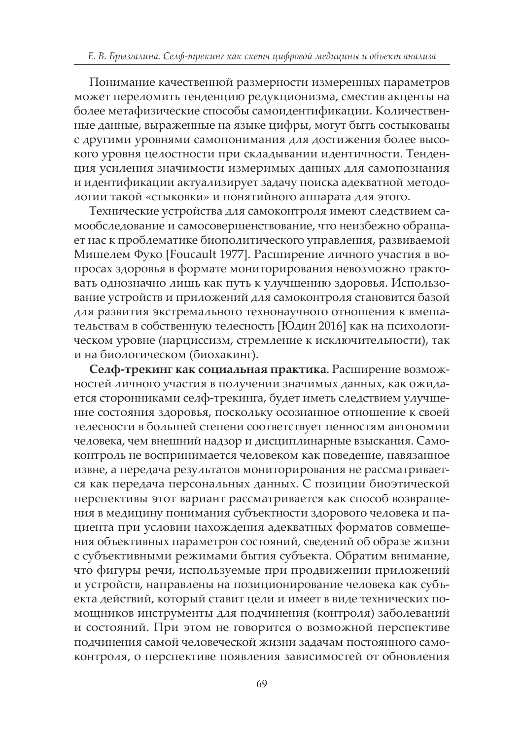Понимание качественной размерности измеренных параметров может переломить тенденцию редукционизма, сместив акценты на более метафизические способы самоидентификации. Количественные данные, выраженные на языке цифры, могут быть состыкованы с другими уровнями самопонимания для достижения более высокого уровня целостности при складывании идентичности. Тенденция усиления значимости измеримых данных для самопознания и идентификации актуализирует задачу поиска адекватной методологии такой «стыковки» и понятийного аппарата для этого.

Технические устройства для самоконтроля имеют следствием самообследование и самосовершенствование, что неизбежно обращает нас к проблематике биополитического управления, развиваемой Мишелем Фуко [Foucault 1977]. Расширение личного участия в вопросах здоровья в формате мониторирования невозможно трактовать однозначно лишь как путь к улучшению здоровья. Использование устройств и приложений для самоконтроля становится базой для развития экстремального технонаучного отношения к вмешательствам в собственную телесность [Юдин 2016] как на психологическом уровне (нарциссизм, стремление к исключительности), так и на биологическом (биохакинг).

**Селф-трекинг как социальная практика**. Расширение возможностей личного участия в получении значимых данных, как ожидается сторонниками селф-трекинга, будет иметь следствием улучшение состояния здоровья, поскольку осознанное отношение к своей телесности в большей степени соответствует ценностям автономии человека, чем внешний надзор и дисциплинарные взыскания. Самоконтроль не воспринимается человеком как поведение, навязанное извне, а передача результатов мониторирования не рассматривается как передача персональных данных. С позиции биоэтической перспективы этот вариант рассматривается как способ возвращения в медицину понимания субъектности здорового человека и пациента при условии нахождения адекватных форматов совмещения объективных параметров состояний, сведений об образе жизни с субъективными режимами бытия субъекта. Обратим внимание, что фигуры речи, используемые при продвижении приложений и устройств, направлены на позиционирование человека как субъекта действий, который ставит цели и имеет в виде технических помощников инструменты для подчинения (контроля) заболеваний и состояний. При этом не говорится о возможной перспективе подчинения самой человеческой жизни задачам постоянного самоконтроля, о перспективе появления зависимостей от обновления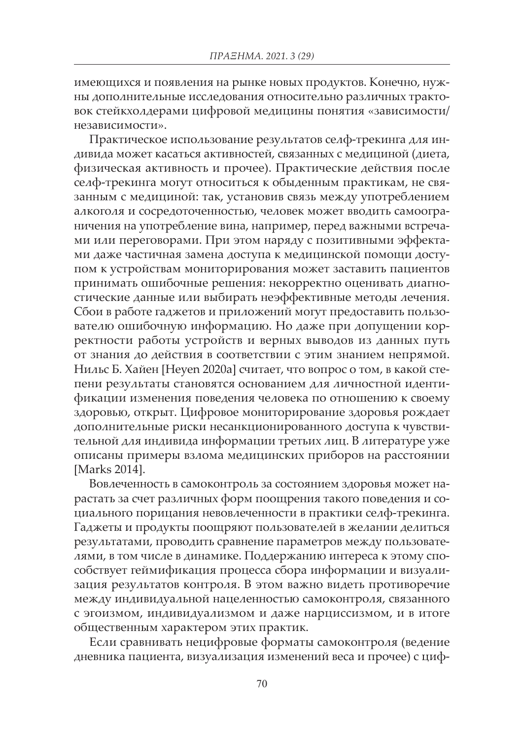имеющихся и появления на рынке новых продуктов. Конечно, нужны дополнительные исследования относительно различных трактовок стейкхолдерами цифровой медицины понятия «зависимости/ независимости».

Практическое использование результатов селф-трекинга для индивида может касаться активностей, связанных с медициной (диета, физическая активность и прочее). Практические действия после селф-трекинга могут относиться к обыденным практикам, не связанным с медициной: так, установив связь между употреблением алкоголя и сосредоточенностью, человек может вводить самоограничения на употребление вина, например, перед важными встречами или переговорами. При этом наряду с позитивными эффектами даже частичная замена доступа к медицинской помощи доступом к устройствам мониторирования может заставить пациентов принимать ошибочные решения: некорректно оценивать диагностические данные или выбирать неэффективные методы лечения. Сбои в работе гаджетов и приложений могут предоставить пользователю ошибочную информацию. Но даже при допущении корректности работы устройств и верных выводов из данных путь от знания до действия в соответствии с этим знанием непрямой. Нильс Б. Хайен [Heyen 2020a] считает, что вопрос о том, в какой степени результаты становятся основанием для личностной идентификации изменения поведения человека по отношению к своему здоровью, открыт. Цифровое мониторирование здоровья рождает дополнительные риски несанкционированного доступа к чувствительной для индивида информации третьих лиц. В литературе уже описаны примеры взлома медицинских приборов на расстоянии [Marks 2014].

Вовлеченность в самоконтроль за состоянием здоровья может нарастать за счет различных форм поощрения такого поведения и социального порицания невовлеченности в практики селф-трекинга. Гаджеты и продукты поощряют пользователей в желании делиться результатами, проводить сравнение параметров между пользователями, в том числе в динамике. Поддержанию интереса к этому способствует геймификация процесса сбора информации и визуализация результатов контроля. В этом важно видеть противоречие между индивидуальной нацеленностью самоконтроля, связанного с эгоизмом, индивидуализмом и даже нарциссизмом, и в итоге общественным характером этих практик.

Если сравнивать нецифровые форматы самоконтроля (ведение дневника пациента, визуализация изменений веса и прочее) с циф-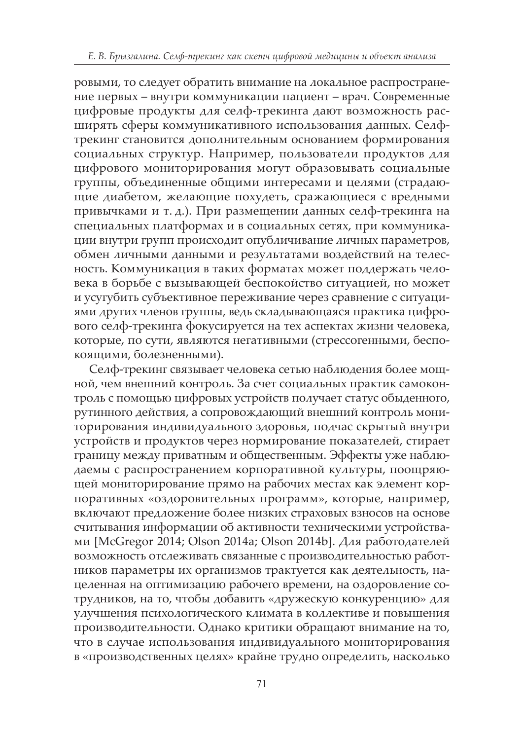ровыми, то следует обратить внимание на локальное распространение первых – внутри коммуникации пациент – врач. Современные цифровые продукты для селф-трекинга дают возможность расширять сферы коммуникативного использования данных. Селфтрекинг становится дополнительным основанием формирования социальных структур. Например, пользователи продуктов для цифрового мониторирования могут образовывать социальные группы, объединенные общими интересами и целями (страдающие диабетом, желающие похудеть, сражающиеся с вредными привычками и т. д.). При размещении данных селф-трекинга на специальных платформах и в социальных сетях, при коммуникации внутри групп происходит опубличивание личных параметров, обмен личными данными и результатами воздействий на телесность. Коммуникация в таких форматах может поддержать человека в борьбе с вызывающей беспокойство ситуацией, но может и усугубить субъективное переживание через сравнение с ситуациями других членов группы, ведь складывающаяся практика цифрового селф-трекинга фокусируется на тех аспектах жизни человека, которые, по сути, являются негативными (стрессогенными, беспокоящими, болезненными).

Селф-трекинг связывает человека сетью наблюдения более мощной, чем внешний контроль. За счет социальных практик самоконтроль с помощью цифровых устройств получает статус обыденного, рутинного действия, а сопровождающий внешний контроль мониторирования индивидуального здоровья, подчас скрытый внутри устройств и продуктов через нормирование показателей, стирает границу между приватным и общественным. Эффекты уже наблюдаемы с распространением корпоративной культуры, поощряющей мониторирование прямо на рабочих местах как элемент корпоративных «оздоровительных программ», которые, например, включают предложение более низких страховых взносов на основе считывания информации об активности техническими устройствами [McGregor 2014; Olson 2014a; Olson 2014b]. Для работодателей возможность отслеживать связанные с производительностью работников параметры их организмов трактуется как деятельность, нацеленная на оптимизацию рабочего времени, на оздоровление сотрудников, на то, чтобы добавить «дружескую конкуренцию» для улучшения психологического климата в коллективе и повышения производительности. Однако критики обращают внимание на то, что в случае использования индивидуального мониторирования в «производственных целях» крайне трудно определить, насколько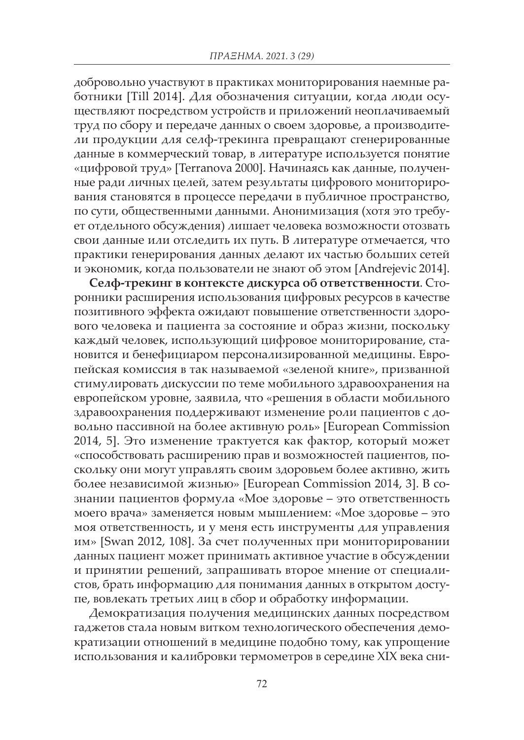добровольно участвуют в практиках мониторирования наемные работники [Till 2014]. Для обозначения ситуации, когда люди осуществляют посредством устройств и приложений неоплачиваемый труд по сбору и передаче данных о своем здоровье, а производители продукции для селф-трекинга превращают сгенерированные данные в коммерческий товар, в литературе используется понятие «цифровой труд» [Terranova 2000]. Начинаясь как данные, полученные ради личных целей, затем результаты цифрового мониторирования становятся в процессе передачи в публичное пространство, по сути, общественными данными. Анонимизация (хотя это требует отдельного обсуждения) лишает человека возможности отозвать свои данные или отследить их путь. В литературе отмечается, что практики генерирования данных делают их частью больших сетей и экономик, когда пользователи не знают об этом [Andrejevic 2014].

**Селф-трекинг в контексте дискурса об ответственности**. Сторонники расширения использования цифровых ресурсов в качестве позитивного эффекта ожидают повышение ответственности здорового человека и пациента за состояние и образ жизни, поскольку каждый человек, использующий цифровое мониторирование, становится и бенефициаром персонализированной медицины. Европейская комиссия в так называемой «зеленой книге», призванной стимулировать дискуссии по теме мобильного здравоохранения на европейском уровне, заявила, что «решения в области мобильного здравоохранения поддерживают изменение роли пациентов с довольно пассивной на более активную роль» [European Commission 2014, 5]. Это изменение трактуется как фактор, который может «способствовать расширению прав и возможностей пациентов, поскольку они могут управлять своим здоровьем более активно, жить более независимой жизнью» [European Commission 2014, 3]. В сознании пациентов формула «Мое здоровье – это ответственность моего врача» заменяется новым мышлением: «Мое здоровье – это моя ответственность, и у меня есть инструменты для управления им» [Swan 2012, 108]. За счет полученных при мониторировании данных пациент может принимать активное участие в обсуждении и принятии решений, запрашивать второе мнение от специалистов, брать информацию для понимания данных в открытом доступе, вовлекать третьих лиц в сбор и обработку информации.

Демократизация получения медицинских данных посредством гаджетов стала новым витком технологического обеспечения демократизации отношений в медицине подобно тому, как упрощение использования и калибровки термометров в середине XIX века сни-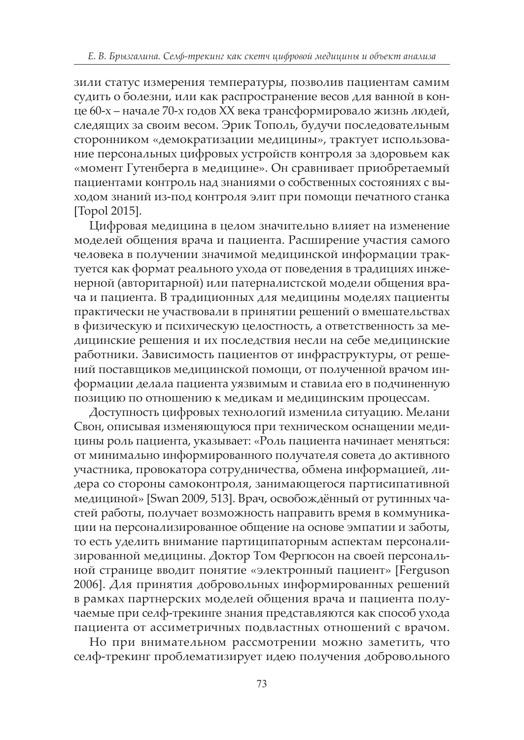зили статус измерения температуры, позволив пациентам самим судить о болезни, или как распространение весов для ванной в конце 60-х – начале 70-х годов XX века трансформировало жизнь людей, следящих за своим весом. Эрик Тополь, будучи последовательным сторонником «демократизации медицины», трактует использование персональных цифровых устройств контроля за здоровьем как «момент Гутенберга в медицине». Он сравнивает приобретаемый пациентами контроль над знаниями о собственных состояниях с выходом знаний из-под контроля элит при помощи печатного станка [Topol 2015].

Цифровая медицина в целом значительно влияет на изменение моделей общения врача и пациента. Расширение участия самого человека в получении значимой медицинской информации трактуется как формат реального ухода от поведения в традициях инженерной (авторитарной) или патерналистской модели общения врача и пациента. В традиционных для медицины моделях пациенты практически не участвовали в принятии решений о вмешательствах в физическую и психическую целостность, а ответственность за медицинские решения и их последствия несли на себе медицинские работники. Зависимость пациентов от инфраструктуры, от решений поставщиков медицинской помощи, от полученной врачом информации делала пациента уязвимым и ставила его в подчиненную позицию по отношению к медикам и медицинским процессам.

Доступность цифровых технологий изменила ситуацию. Мелани Свон, описывая изменяющуюся при техническом оснащении медицины роль пациента, указывает: «Роль пациента начинает меняться: от минимально информированного получателя совета до активного участника, провокатора сотрудничества, обмена информацией, лидера со стороны самоконтроля, занимающегося партисипативной медициной» [Swan 2009, 513]. Врач, освобождённый от рутинных частей работы, получает возможность направить время в коммуникации на персонализированное общение на основе эмпатии и заботы, то есть уделить внимание партиципаторным аспектам персонализированной медицины. Доктор Том Фергюсон на своей персональной странице вводит понятие «электронный пациент» [Ferguson 2006]. Для принятия добровольных информированных решений в рамках партнерских моделей общения врача и пациента получаемые при селф-трекинге знания представляются как способ ухода пациента от ассиметричных подвластных отношений с врачом.

Но при внимательном рассмотрении можно заметить, что селф-трекинг проблематизирует идею получения добровольного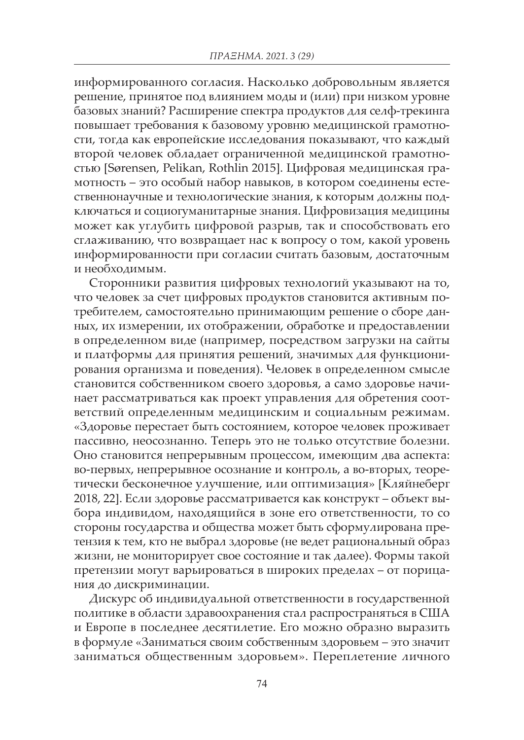информированного согласия. Насколько добровольным является решение, принятое под влиянием моды и (или) при низком уровне базовых знаний? Расширение спектра продуктов для селф-трекинга повышает требования к базовому уровню медицинской грамотности, тогда как европейские исследования показывают, что каждый второй человек обладает ограниченной медицинской грамотностью [Sørensen, Pelikan, Rothlin 2015]. Цифровая медицинская грамотность – это особый набор навыков, в котором соединены естественнонаучные и технологические знания, к которым должны подключаться и социогуманитарные знания. Цифровизация медицины может как углубить цифровой разрыв, так и способствовать его сглаживанию, что возвращает нас к вопросу о том, какой уровень информированности при согласии считать базовым, достаточным и необходимым.

Сторонники развития цифровых технологий указывают на то, что человек за счет цифровых продуктов становится активным потребителем, самостоятельно принимающим решение о сборе данных, их измерении, их отображении, обработке и предоставлении в определенном виде (например, посредством загрузки на сайты и платформы для принятия решений, значимых для функционирования организма и поведения). Человек в определенном смысле становится собственником своего здоровья, а само здоровье начинает рассматриваться как проект управления для обретения соответствий определенным медицинским и социальным режимам. «Здоровье перестает быть состоянием, которое человек проживает пассивно, неосознанно. Теперь это не только отсутствие болезни. Оно становится непрерывным процессом, имеющим два аспекта: во-первых, непрерывное осознание и контроль, а во-вторых, теоретически бесконечное улучшение, или оптимизация» [Кляйнеберг 2018, 22]. Если здоровье рассматривается как конструкт – объект выбора индивидом, находящийся в зоне его ответственности, то со стороны государства и общества может быть сформулирована претензия к тем, кто не выбрал здоровье (не ведет рациональный образ жизни, не мониторирует свое состояние и так далее). Формы такой претензии могут варьироваться в широких пределах – от порицания до дискриминации.

Дискурс об индивидуальной ответственности в государственной политике в области здравоохранения стал распространяться в США и Европе в последнее десятилетие. Его можно образно выразить в формуле «Заниматься своим собственным здоровьем – это значит заниматься общественным здоровьем». Переплетение личного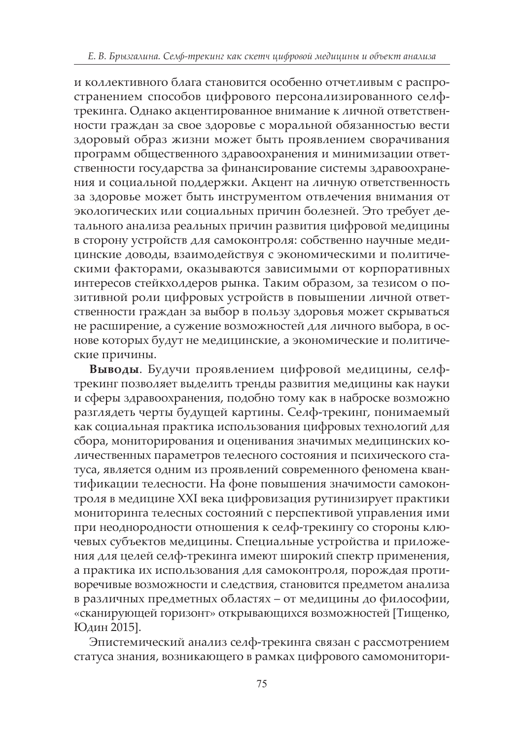и коллективного блага становится особенно отчетливым с распространением способов цифрового персонализированного селфтрекинга. Однако акцентированное внимание к личной ответственности граждан за свое здоровье с моральной обязанностью вести здоровый образ жизни может быть проявлением сворачивания программ общественного здравоохранения и минимизации ответственности государства за финансирование системы здравоохранения и социальной поддержки. Акцент на личную ответственность за здоровье может быть инструментом отвлечения внимания от экологических или социальных причин болезней. Это требует детального анализа реальных причин развития цифровой медицины в сторону устройств для самоконтроля: собственно научные медицинские доводы, взаимодействуя с экономическими и политическими факторами, оказываются зависимыми от корпоративных интересов стейкхолдеров рынка. Таким образом, за тезисом о позитивной роли цифровых устройств в повышении личной ответственности граждан за выбор в пользу здоровья может скрываться не расширение, а сужение возможностей для личного выбора, в основе которых будут не медицинские, а экономические и политические причины.

**Выводы**. Будучи проявлением цифровой медицины, селфтрекинг позволяет выделить тренды развития медицины как науки и сферы здравоохранения, подобно тому как в наброске возможно разглядеть черты будущей картины. Селф-трекинг, понимаемый как социальная практика использования цифровых технологий для сбора, мониторирования и оценивания значимых медицинских количественных параметров телесного состояния и психического статуса, является одним из проявлений современного феномена квантификации телесности. На фоне повышения значимости самоконтроля в медицине XXI века цифровизация рутинизирует практики мониторинга телесных состояний с перспективой управления ими при неоднородности отношения к селф-трекингу со стороны ключевых субъектов медицины. Специальные устройства и приложения для целей селф-трекинга имеют широкий спектр применения, а практика их использования для самоконтроля, порождая противоречивые возможности и следствия, становится предметом анализа в различных предметных областях – от медицины до философии, «сканирующей горизонт» открывающихся возможностей [Тищенко, Юдин 2015].

Эпистемический анализ селф-трекинга связан с рассмотрением статуса знания, возникающего в рамках цифрового самомонитори-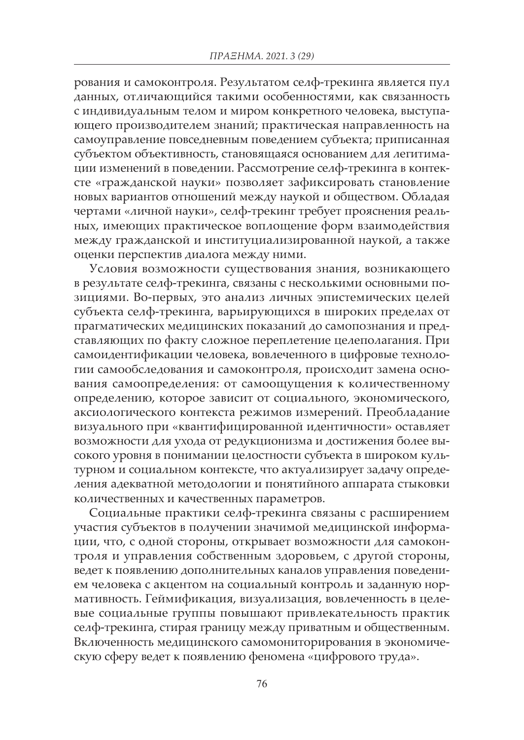рования и самоконтроля. Результатом селф-трекинга является пул данных, отличающийся такими особенностями, как связанность с индивидуальным телом и миром конкретного человека, выступающего производителем знаний; практическая направленность на самоуправление повседневным поведением субъекта; приписанная субъектом объективность, становящаяся основанием для легитимации изменений в поведении. Рассмотрение селф-трекинга в контексте «гражданской науки» позволяет зафиксировать становление новых вариантов отношений между наукой и обществом. Обладая чертами «личной науки», селф-трекинг требует прояснения реальных, имеющих практическое воплощение форм взаимодействия между гражданской и институциализированной наукой, а также оценки перспектив диалога между ними.

Условия возможности существования знания, возникающего в результате селф-трекинга, связаны с несколькими основными позициями. Во-первых, это анализ личных эпистемических целей субъекта селф-трекинга, варьирующихся в широких пределах от прагматических медицинских показаний до самопознания и представляющих по факту сложное переплетение целеполагания. При самоидентификации человека, вовлеченного в цифровые технологии самообследования и самоконтроля, происходит замена основания самоопределения: от самоощущения к количественному определению, которое зависит от социального, экономического, аксиологического контекста режимов измерений. Преобладание визуального при «квантифицированной идентичности» оставляет возможности для ухода от редукционизма и достижения более высокого уровня в понимании целостности субъекта в широком культурном и социальном контексте, что актуализирует задачу определения адекватной методологии и понятийного аппарата стыковки количественных и качественных параметров.

Социальные практики селф-трекинга связаны с расширением участия субъектов в получении значимой медицинской информации, что, с одной стороны, открывает возможности для самоконтроля и управления собственным здоровьем, с другой стороны, ведет к появлению дополнительных каналов управления поведением человека с акцентом на социальный контроль и заданную нормативность. Геймификация, визуализация, вовлеченность в целевые социальные группы повышают привлекательность практик селф-трекинга, стирая границу между приватным и общественным. Включенность медицинского самомониторирования в экономическую сферу ведет к появлению феномена «цифрового труда».

76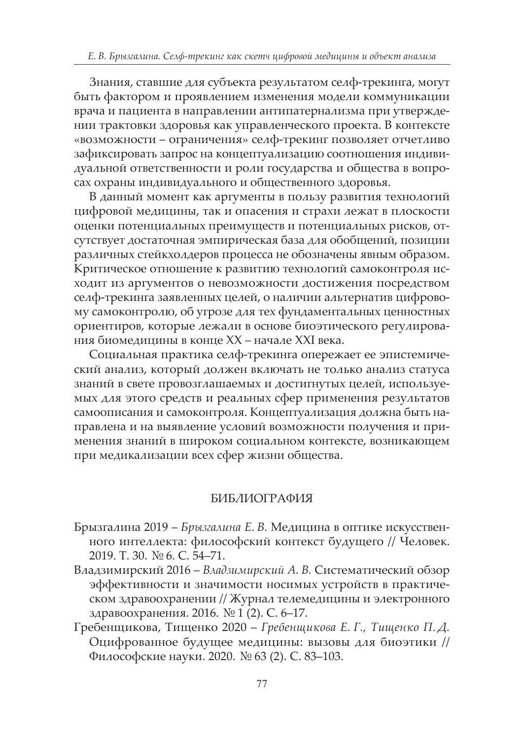Знания, ставшие для субъекта результатом селф-трекинга, могут быть фактором и проявлением изменения модели коммуникации врача и пациента в направлении антипатернализма при утверждении трактовки здоровья как управленческого проекта. В контексте «возможности – ограничения» селф-трекинг позволяет отчетливо зафиксировать запрос на концептуализацию соотношения индивидуальной ответственности и роли государства и общества в вопросах охраны индивидуального и общественного здоровья.

В данный момент как аргументы в пользу развития технологий цифровой медицины, так и опасения и страхи лежат в плоскости оценки потенциальных преимуществ и потенциальных рисков, отсутствует достаточная эмпирическая база для обобщений, позиции различных стейкхолдеров процесса не обозначены явным образом. Критическое отношение к развитию технологий самоконтроля исходит из аргументов о невозможности достижения посредством селф-трекинга заявленных целей, о наличии альтернатив цифровому самоконтролю, об угрозе для тех фундаментальных ценностных ориентиров, которые лежали в основе биоэтического регулирования биомедицины в конце XX – начале XXI века.

Социальная практика селф-трекинга опережает ее эпистемический анализ, который должен включать не только анализ статуса знаний в свете провозглашаемых и достигнутых целей, используемых для этого средств и реальных сфер применения результатов самоописания и самоконтроля. Концептуализация должна быть направлена и на выявление условий возможности получения и применения знаний в широком социальном контексте, возникающем при медикализации всех сфер жизни общества.

### БИБЛИОГРАФИЯ

- Брызгалина 2019 *Брызгалина Е. В.* Медицина в оптике искусственного интеллекта: философский контекст будущего // Человек. 2019. Т. 30. № 6. С. 54–71.
- Владзимирский 2016 *Владзимирский А. В.* Систематический обзор эффективности и значимости носимых устройств в практическом здравоохранении // Журнал телемедицины и электронного здравоохранения. 2016. № 1 (2). C. 6–17.
- Гребенщикова, Тищенко 2020 *Гребенщикова Е. Г., Тищенко П. Д.* Оцифрованное будущее медицины: вызовы для биоэтики // Философские науки. 2020. № 63 (2). С. 83–103.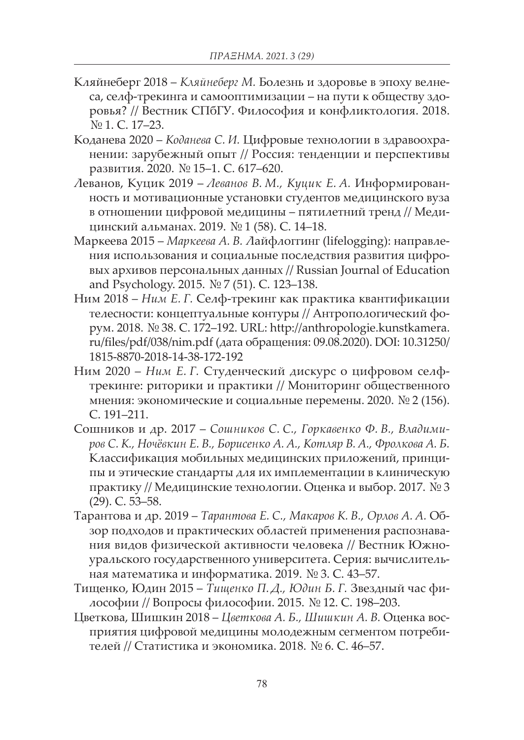- Кляйнеберг 2018 *Кляйнеберг М.* Болезнь и здоровье в эпоху велнеса, селф-трекинга и самооптимизации – на пути к обществу здоровья? // Вестник СПбГУ. Философия и конфликтология. 2018. № 1. С. 17–23.
- Коданева 2020 *Коданева С. И.* Цифровые технологии в здравоохранении: зарубежный опыт // Россия: тенденции и перспективы развития. 2020. № 15–1. С. 617–620.
- Леванов, Куцик 2019 *Леванов В. М., Куцик Е. А.* Информированность и мотивационные установки студентов медицинского вуза в отношении цифровой медицины – пятилетний тренд // Медицинский альманах. 2019. № 1 (58). С. 14–18.
- Маркеева 2015 *Маркеева А. В.* Лайфлоггинг (lifelogging): направления использования и социальные последствия развития цифровых архивов персональных данных // Russian Journal of Education and Psychology. 2015. № 7 (51). С. 123–138.
- Ним 2018 *Ним Е. Г.* Селф-трекинг как практика квантификации телесности: концептуальные контуры // Антропологический форум. 2018. № 38. С. 172–192. URL: http://anthropologie.kunstkamera. ru/files/pdf/038/nim.pdf (дата обращения: 09.08.2020). DOI: 10.31250/ 1815-8870-2018-14-38-172-192
- Ним 2020 *Ним Е. Г.* Студенческий дискурс о цифровом селфтрекинге: риторики и практики // Мониторинг общественного мнения: экономические и социальные перемены. 2020. № 2 (156). C. 191–211.
- Сошников и др. 2017 *Сошников С. С., Горкавенко Ф. В., Владими*ров С. К., Ночёвкин Е. В., Борисенко А. А., Котляр В. А., Фролкова А. Б. Классификация мобильных медицинских приложений, принципы и этические стандарты для их имплементации в клиническую практику // Медицинские технологии. Оценка и выбор. 2017. № 3 (29). С. 53–58.
- Тарантова и др. 2019 *Тарантова Е. С., Макаров К. В., Орлов А. А.* Обзор подходов и практических областей применения распознавания видов физической активности человека // Вестник Южноуральского государственного университета. Серия: вычислительная математика и информатика. 2019. № 3. C. 43–57.
- Тищенко, Юдин 2015 *Тищенко П. Д., Юдин Б. Г.* Звездный час философии // Вопросы философии. 2015. № 12. С. 198–203.
- Цветкова, Шишкин 2018 *Цветкова А. Б., Шишкин А. В.* Оценка восприятия цифровой медицины молодежным сегментом потребителей // Статистика и экономика. 2018. № 6. С. 46–57.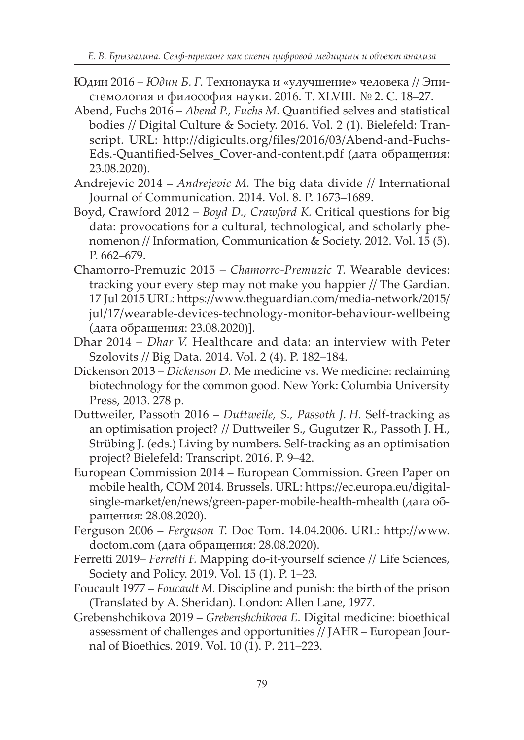- Юдин 2016 *Юдин Б. Г.* Технонаука и «улучшение» человека // Эпистемология и философия науки. 2016. Т. XLVIII. № 2. С. 18–27.
- Abend, Fuchs 2016 *Abend P., Fuchs M.* Quantified selves and statistical bodies // Digital Culture & Society. 2016. Vol. 2 (1). Bielefeld: Transcript. URL: http://digicults.org/files/2016/03/Abend-and-Fuchs-Eds.-Quantified-Selves\_Cover-and-content.pdf (дата обращения: 23.08.2020).
- Andrejevic 2014 *Andrejevic M.* The big data divide // International Journal of Communication. 2014. Vol. 8. P. 1673–1689.
- Boyd, Crawford 2012 *Boyd D., Crawford K.* Critical questions for big data: provocations for a cultural, technological, and scholarly phenomenon // Information, Communication & Society. 2012. Vol. 15 (5). P. 662–679.
- Chamorro-Premuzic 2015 *Chamorro-Premuzic T.* Wearable devices: tracking your every step may not make you happier // The Gardian. 17 Jul 2015 URL: https://www.theguardian.com/media-network/2015/ jul/17/wearable-devices-technology-monitor-behaviour-wellbeing (дата обращения: 23.08.2020)].
- Dhar 2014 *Dhar V.* Healthcare and data: an interview with Peter Szolovits // Big Data. 2014. Vol. 2 (4). P. 182–184.
- Dickenson 2013 *Dickenson D.* Me medicine vs. We medicine: reclaiming biotechnology for the common good. New York: Columbia University Press, 2013. 278 p.
- Duttweiler, Passoth 2016 *Duttweile, S., Passoth J. H.* Self-tracking as an optimisation project? // Duttweiler S., Gugutzer R., Passoth J. H., Strübing J. (eds.) Living by numbers. Self-tracking as an optimisation project? Bielefeld: Transcript. 2016. P. 9–42.
- European Commission 2014 European Commission. Green Paper on mobile health, COM 2014. Brussels. URL: https://ec.europa.eu/digitalsingle-market/en/news/green-paper-mobile-health-mhealth (дата обращения: 28.08.2020).
- Ferguson 2006 *Ferguson T.* Doc Tom. 14.04.2006. URL: http://www. doctom.com (дата обращения: 28.08.2020).
- Ferretti 2019– *Ferretti F.* Mapping do-it-yourself science // Life Sciences, Society and Policy. 2019. Vol. 15 (1). P. 1–23.
- Foucault 1977 *Foucault M.* Discipline and punish: the birth of the prison (Translated by A. Sheridan). London: Allen Lane, 1977.
- Grebenshchikova 2019 *Grebenshchikova E.* Digital medicine: bioethical assessment of challenges and opportunities // JAHR – European Journal of Bioethics. 2019. Vol. 10 (1). Р. 211–223.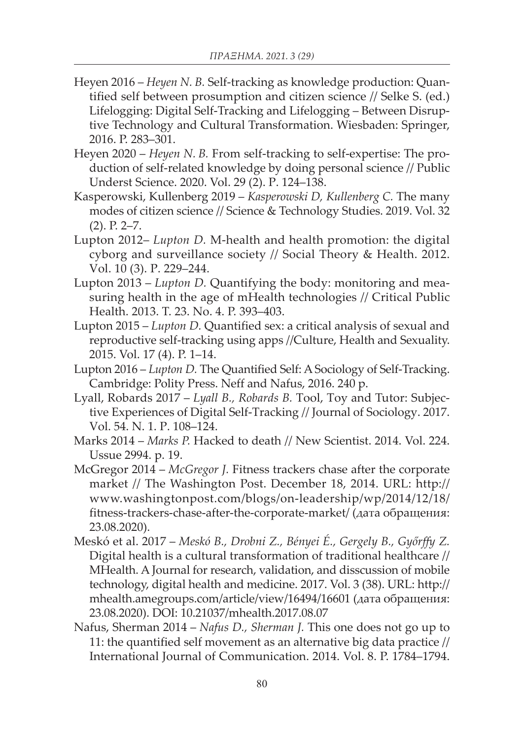- Heyen 2016 *Heyen N. B.* Self-tracking as knowledge production: Quantified self between prosumption and citizen science // Selke S. (ed.) Lifelogging: Digital Self-Tracking and Lifelogging – Between Disruptive Technology and Cultural Transformation. Wiesbaden: Springer, 2016. P. 283–301.
- Heyen 2020 *Heyen N. B.* From self-tracking to self-expertise: The production of self-related knowledge by doing personal science // Public Underst Science. 2020. Vol. 29 (2). Р. 124–138.
- Kasperowski, Kullenberg 2019 *Kasperowski D, Kullenberg C.* The many modes of citizen science // Science & Technology Studies. 2019. Vol. 32 (2). P. 2–7.
- Lupton 2012– *Lupton D.* M-health and health promotion: the digital cyborg and surveillance society // Social Theory & Health. 2012. Vol. 10 (3). P. 229–244.
- Lupton 2013 *Lupton D.* Quantifying the body: monitoring and measuring health in the age of mHealth technologies // Critical Public Health. 2013. T. 23. No. 4. P. 393–403.
- Lupton 2015 *Lupton D.* Quantified sex: a critical analysis of sexual and reproductive self-tracking using apps //Culture, Health and Sexuality. 2015. Vol. 17 (4). P. 1–14.
- Lupton 2016 *Lupton D.* The Quantified Self: A Sociology of Self-Tracking. Cambridge: Polity Press. Neff and Nafus, 2016. 240 p.
- Lyall, Robards 2017 *Lyall B., Robards B.* Tool, Toy and Tutor: Subjective Experiences of Digital Self-Tracking // Journal of Sociology. 2017. Vol. 54. N. 1. P. 108–124.
- Marks 2014 *Marks P.* Hacked to death // New Scientist. 2014. Vol. 224. Ussue 2994. p. 19.
- McGregor 2014 *McGregor J.* Fitness trackers chase after the corporate market // The Washington Post. December 18, 2014. URL: http:// www.washingtonpost.com/blogs/on-leadership/wp/2014/12/18/ fitness-trackers-chase-after-the-corporate-market/ (дата обращения: 23.08.2020).
- Meskó et al. 2017 *Meskó B., Drobni Z., Bényei É., Gergely B., Győrffy Z.* Digital health is a cultural transformation of traditional healthcare // MHealth. A Journal for research, validation, and disscussion of mobile technology, digital health and medicine. 2017. Vol. 3 (38). URL: http:// mhealth.amegroups.com/article/view/16494/16601 (дата обращения: 23.08.2020). DOI: 10.21037/mhealth.2017.08.07
- Nafus, Sherman 2014 *Nafus D., Sherman J.* This one does not go up to 11: the quantified self movement as an alternative big data practice // International Journal of Communication. 2014. Vol. 8. P. 1784–1794.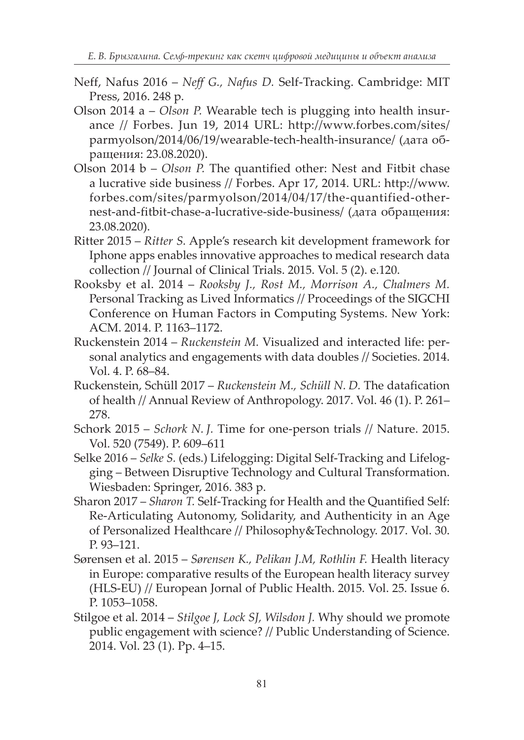- Neff, Nafus 2016 *Neff G., Nafus D.* Self-Tracking. Cambridge: MIT Press, 2016. 248 p.
- Olson 2014 a *Olson P.* Wearable tech is plugging into health insurance // Forbes. Jun 19, 2014 URL: http://www.forbes.com/sites/ parmyolson/2014/06/19/wearable-tech-health-insurance/ (дата обращения: 23.08.2020).
- Olson 2014 b *Olson P.* The quantified other: Nest and Fitbit chase a lucrative side business // Forbes. Apr 17, 2014. URL: http://www. forbes.com/sites/parmyolson/2014/04/17/the-quantified-othernest-and-fitbit-chase-a-lucrative-side-business/ (дата обращения: 23.08.2020).
- Ritter 2015 *Ritter S.* Apple's research kit development framework for Iphone apps enables innovative approaches to medical research data collection // Journal of Clinical Trials. 2015. Vol. 5 (2). e.120.
- Rooksby et al. 2014 *Rooksby J., Rost M., Morrison A., Chalmers M.* Personal Tracking as Lived Informatics // Proceedings of the SIGCHI Conference on Human Factors in Computing Systems. New York: ACM. 2014. P. 1163–1172.
- Ruckenstein 2014 *Ruckenstein M.* Visualized and interacted life: personal analytics and engagements with data doubles // Societies. 2014. Vol. 4. P. 68–84.
- Ruckenstein, Schüll 2017 *Ruckenstein M., Schüll N. D.* The datafication of health // Annual Review of Anthropology. 2017. Vol. 46 (1). P. 261– 278.
- Schork 2015 *Schork N. J.* Time for one-person trials // Nature. 2015. Vol. 520 (7549). P. 609–611
- Selke 2016 *Selke S.* (eds.) Lifelogging: Digital Self-Tracking and Lifelogging – Between Disruptive Technology and Cultural Transformation. Wiesbaden: Springer, 2016. 383 p.
- Sharon 2017 *Sharon T.* Self-Tracking for Health and the Quantified Self: Re-Articulating Autonomy, Solidarity, and Authenticity in an Age of Personalized Healthcare // Philosophy&Technology. 2017. Vol. 30. P. 93–121.
- Sørensen et al. 2015 *Sørensen K., Pelikan J.M, Rothlin F.* Health literacy in Europe: comparative results of the European health literacy survey (HLS-EU) // European Jornal of Public Health. 2015. Vol. 25. Issue 6. P. 1053–1058.
- Stilgoe et al. 2014 *Stilgoe J, Lock SJ, Wilsdon J.* Why should we promote public engagement with science? // Public Understanding of Science. 2014. Vol. 23 (1). Pp. 4–15.